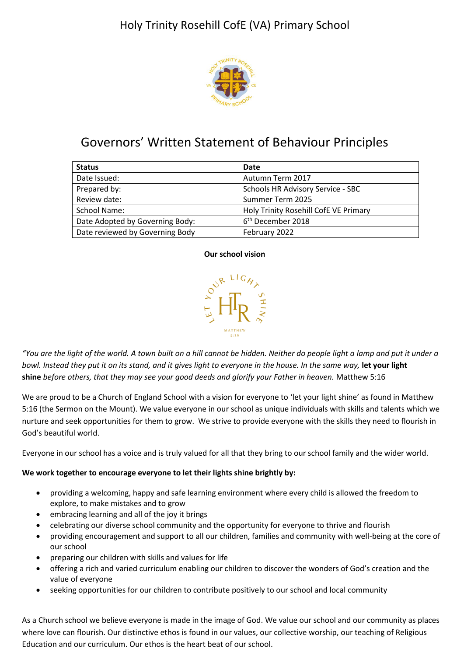

# Governors' Written Statement of Behaviour Principles

| <b>Status</b>                   | Date                                  |
|---------------------------------|---------------------------------------|
| Date Issued:                    | Autumn Term 2017                      |
| Prepared by:                    | Schools HR Advisory Service - SBC     |
| Review date:                    | Summer Term 2025                      |
| School Name:                    | Holy Trinity Rosehill CofE VE Primary |
| Date Adopted by Governing Body: | 6 <sup>th</sup> December 2018         |
| Date reviewed by Governing Body | February 2022                         |

#### **Our school vision**



*"You are the light of the world. A town built on a hill cannot be hidden. Neither do people light a lamp and put it under a bowl. Instead they put it on its stand, and it gives light to everyone in the house. In the same way,* **let your light shine** *before others, that they may see your good deeds and glorify your Father in heaven.* Matthew 5:16

We are proud to be a Church of England School with a vision for everyone to 'let your light shine' as found in Matthew 5:16 (the Sermon on the Mount). We value everyone in our school as unique individuals with skills and talents which we nurture and seek opportunities for them to grow. We strive to provide everyone with the skills they need to flourish in God's beautiful world.

Everyone in our school has a voice and is truly valued for all that they bring to our school family and the wider world.

#### **We work together to encourage everyone to let their lights shine brightly by:**

- providing a welcoming, happy and safe learning environment where every child is allowed the freedom to explore, to make mistakes and to grow
- embracing learning and all of the joy it brings
- celebrating our diverse school community and the opportunity for everyone to thrive and flourish
- providing encouragement and support to all our children, families and community with well-being at the core of our school
- preparing our children with skills and values for life
- offering a rich and varied curriculum enabling our children to discover the wonders of God's creation and the value of everyone
- seeking opportunities for our children to contribute positively to our school and local community

As a Church school we believe everyone is made in the image of God. We value our school and our community as places where love can flourish. Our distinctive ethos is found in our values, our collective worship, our teaching of Religious Education and our curriculum. Our ethos is the heart beat of our school.